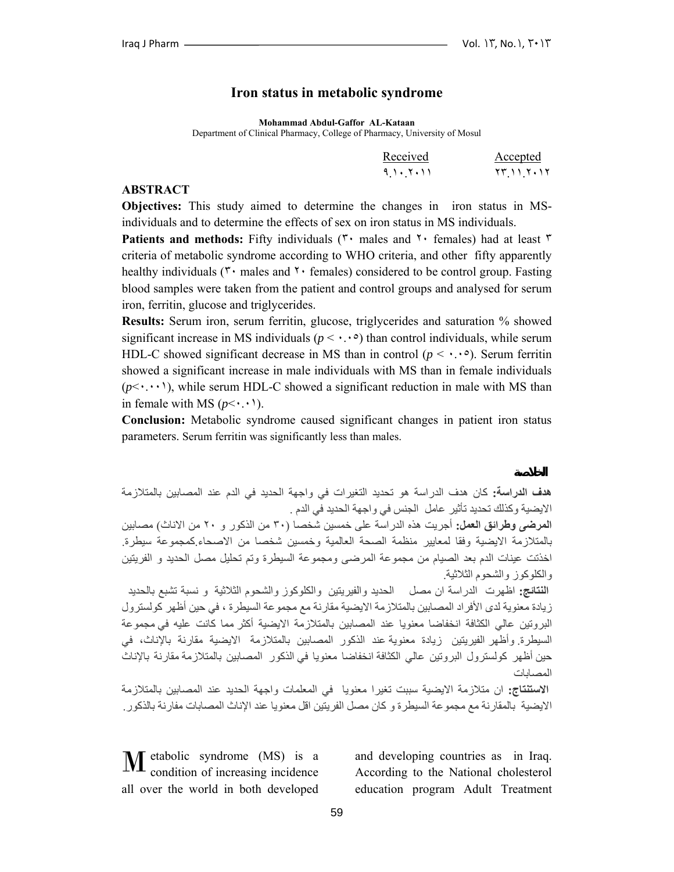### **Iron status in metabolic syndrome**

**Mohammad Abdul-Gaffor AL-Kataan**

Department of Clinical Pharmacy, College of Pharmacy, University of Mosul

| Received      | Accepted            |
|---------------|---------------------|
| 9 ) . 7 . 1 1 | 75 <i>11 7</i> . 17 |

#### **ABSTRACT**

**Objectives:** This study aimed to determine the changes in iron status in MSindividuals and to determine the effects of sex on iron status in MS individuals.

**Patients and methods:** Fifty individuals ( $\mathbf{r}$  males and  $\mathbf{r}$  females) had at least  $\mathbf{r}$ criteria of metabolic syndrome according to WHO criteria, and other fifty apparently healthy individuals ( $\mathbf{r}$  males and  $\mathbf{r}$  females) considered to be control group. Fasting blood samples were taken from the patient and control groups and analysed for serum iron, ferritin, glucose and triglycerides.

**Results:** Serum iron, serum ferritin, glucose, triglycerides and saturation % showed significant increase in MS individuals ( $p \leq \cdots$ <sup>o</sup>) than control individuals, while serum HDL-C showed significant decrease in MS than in control  $(p \leq \cdot \cdot \cdot)$ . Serum ferritin showed a significant increase in male individuals with MS than in female individuals  $(p<\cdot\cdot\cdot\cdot)$ , while serum HDL-C showed a significant reduction in male with MS than in female with MS  $(p<\cdot\cdot\cdot)$ .

**Conclusion:** Metabolic syndrome caused significant changes in patient iron status parameters. Serum ferritin was significantly less than males.

**هدف الدراسة:** آان هدف الدراسة هو تحديد التغيرات في واجهة الحديد في الدم عند المصابين بالمتلازمة الايضية وكذلك تحديد تأثير عامل الجنس في واجهة الحديد في الدم .

**المرضى وطرائق العمل:** أجريت هذه الدراسة على خمسين شخصا (٣٠ من الذآور و ٢٠ من الاناث) مصابين بالمتلازمة الايضية وفقا لمعايير منظمة الصحة العالمية وخمسين شخصا من الاصحاء.آمجموعة سيطرة. اخذتت عينات الدم بعد الصيام من مجموعة المرضى ومجموعة السيطرة وتم تحليل مصل الحديد و الفريتين والكلوكوز والشحوم الثلاثية.

**النتائج:** اظهرت الدراسة ان مصل الحديد والفيريتين والكلوآوز والشحوم الثلاثية و نسبة تشبع بالحديد ز بادة معنو بة لدى الأفر اد المصابين بالمتلاز مة الايضية مقارنة مع مجموعة السيطر ة ، في حين أظهر كو لستر ول البروتين عالي الكثافة انخفاضا معنويا عند المصابين بالمتلازمة الايضية أكثر مما كانت عليه في مجموعة السيطرة. وأظهر الفيريتين زيادة معنوية عند الذكور المصابين بالمتلازمة الايضية مقارنة بالإناث، في حين أظهر كولسترول البروتين عالي الكثافة انخفاضا معنويا في الذكور المصابين بالمتلازمة مقارنة بالإناث المصابات

**الاستنتاج:** ان متلازمة الايضية سببت تغيرا معنويا في المعلمات واجهة الحديد عند المصابين بالمتلازمة الايضية بالمقارنة مع مجموعة السيطرة و كان مصل الفريتين اقل معنويا عند الإناث المصابات مفارنة بالذكور .

**M** etabolic syndrome (MS) is a condition of increasing incidence condition of increasing incidence all over the world in both developed

and developing countries as in Iraq. According to the National cholesterol education program Adult Treatment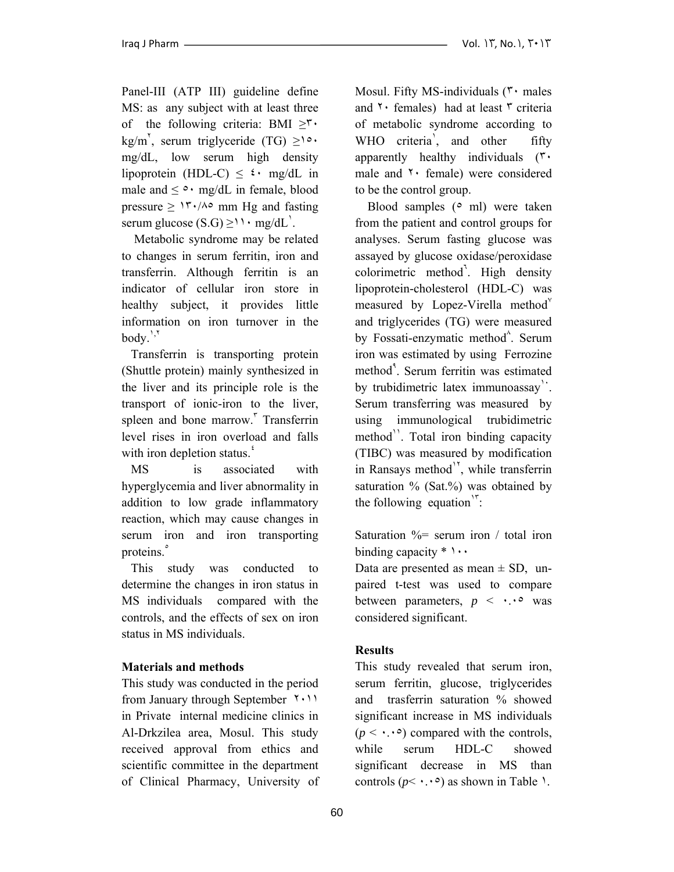Panel-III (ATP III) guideline define MS: as any subject with at least three of the following criteria: BMI  $\geq^{\mathsf{r}}$ . kg/m<sup>'</sup>, serum triglyceride (TG)  $\geq$ <sup>10</sup> mg/dL, low serum high density lipoprotein (HDL-C)  $\leq \frac{1}{2}$  mg/dL in male and  $\leq \circ \cdot$  mg/dL in female, blood pressure  $\geq$  1<sup>r</sup> $\cdot$ / $\wedge \circ$  mm Hg and fasting serum glucose  $(S.G) \geq 11 \cdot mg/dL$ .

 Metabolic syndrome may be related to changes in serum ferritin, iron and transferrin. Although ferritin is an indicator of cellular iron store in healthy subject, it provides little information on iron turnover in the  $body.$ <sup> $\lambda$ \*</sup>

 Transferrin is transporting protein (Shuttle protein) mainly synthesized in the liver and its principle role is the transport of ionic-iron to the liver, spleen and bone marrow.<sup>"</sup> Transferrin level rises in iron overload and falls with iron depletion status.<sup>4</sup>

 MS is associated with hyperglycemia and liver abnormality in addition to low grade inflammatory reaction, which may cause changes in serum iron and iron transporting proteins.<sup>°</sup>

 This study was conducted to determine the changes in iron status in MS individuals compared with the controls, and the effects of sex on iron status in MS individuals.

### **Materials and methods**

This study was conducted in the period from January through September ٢٠١١ in Private internal medicine clinics in Al-Drkzilea area, Mosul. This study received approval from ethics and scientific committee in the department of Clinical Pharmacy, University of Mosul. Fifty MS-individuals ( $\mathbf{r}$  males and  $\gamma$  females) had at least  $\gamma$  criteria of metabolic syndrome according to WHO criteria<sup>'</sup>, and other fifty apparently healthy individuals (٣٠ male and ٢٠ female) were considered to be the control group.

Blood samples ( $\circ$  ml) were taken from the patient and control groups for analyses. Serum fasting glucose was assayed by glucose oxidase/peroxidase colorimetric method<sup>7</sup>. High density lipoprotein-cholesterol (HDL-C) was measured by Lopez-Virella method $v$ and triglycerides (TG) were measured by Fossati-enzymatic method<sup>^</sup>. Serum iron was estimated by using Ferrozine method<sup>4</sup>. Serum ferritin was estimated by trubidimetric latex immunoassay<sup>1</sup>. Serum transferring was measured by using immunological trubidimetric method<sup>11</sup>. Total iron binding capacity (TIBC) was measured by modification in Ransays method<sup>1</sup>, while transferrin saturation  $\%$  (Sat. $\%$ ) was obtained by the following equation $\mathbf{r}$ :

Saturation  $\frac{9}{6}$  serum iron / total iron binding capacity  $*\cdots$ 

Data are presented as mean  $\pm$  SD, unpaired t-test was used to compare between parameters,  $p \leq \cdot \cdot \cdot$  was considered significant.

# **Results**

This study revealed that serum iron, serum ferritin, glucose, triglycerides and trasferrin saturation % showed significant increase in MS individuals  $(p \leq \cdot \cdot \cdot)$  compared with the controls, while serum HDL-C showed significant decrease in MS than controls  $(p < \cdot, \cdot)$  as shown in Table 1.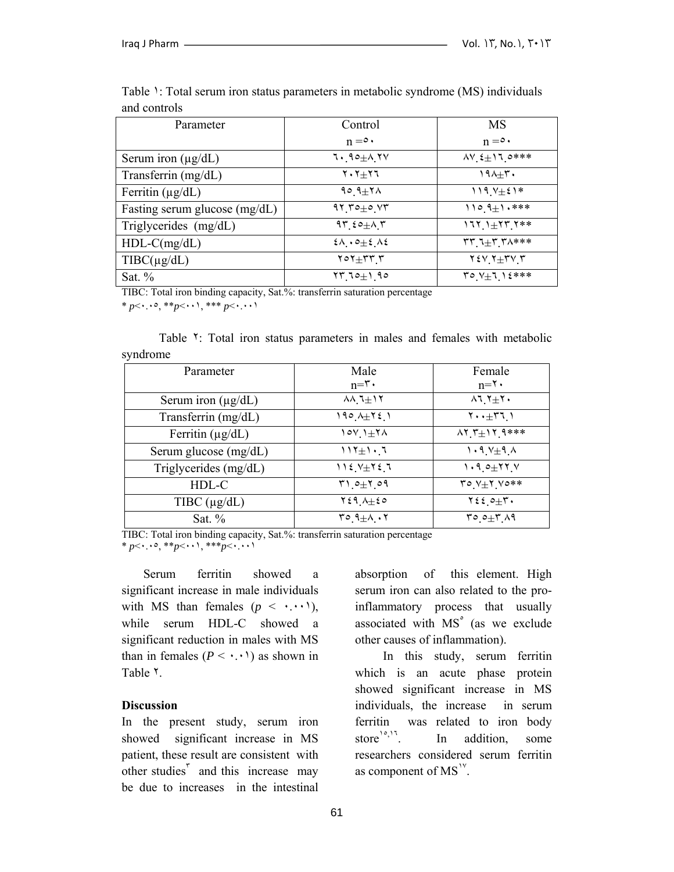| Parameter                            | Control                                                     | <b>MS</b>                                  |
|--------------------------------------|-------------------------------------------------------------|--------------------------------------------|
|                                      | $n = 0$                                                     | $n = 0$                                    |
| Serum iron $(\mu g/dL)$              | $1.90 \pm 0.1$                                              | $\Delta V_{.} \xi_{\pm}$ 11.0***           |
| Transferrin (mg/dL)                  | $Y \cdot Y + Y$                                             | $190+7$                                    |
| Ferritin $(\mu g/dL)$                | $90.9 \pm 7 \wedge$                                         | $119.7 \pm 21*$                            |
| Fasting serum glucose (mg/dL)        | $91.70 \pm 0.77$                                            | $110.9 \pm 1.***$                          |
| Triglycerides (mg/dL)                | $97.50 + 1.7$                                               | $1711 + 1777$                              |
| $HDL-C(mg/dL)$                       | $2\lambda \cdot 2 \pm 2 \cdot 2$                            | $rr_1+r_1$                                 |
| $T\text{IBC}(\mu\text{g}/\text{d}L)$ | $\mathbf{Y} \circ \mathbf{Y} + \mathbf{Y} \cdot \mathbf{Y}$ | $Y \in V$ $Y \pm Y$ $Y$                    |
| Sat. $%$                             | $17.10 \pm 1.90$                                            | $\mathcal{V} \circ \mathcal{V} + 1$ ) {*** |

Table 1: Total serum iron status parameters in metabolic syndrome (MS) individuals and controls

TIBC: Total iron binding capacity, Sat.%: transferrin saturation percentage

\* *p*<٠.٠٥, \*\**p*<٠٠١, \*\*\* *p*<٠.٠٠١

Table <sup>Y</sup>: Total iron status parameters in males and females with metabolic syndrome

| Parameter               | Male<br>$n = \tau$ .                                     | Female<br>$n = \tau$ .                                      |
|-------------------------|----------------------------------------------------------|-------------------------------------------------------------|
| Serum iron $(\mu g/dL)$ | $\lambda \lambda$ <sub>,</sub> $\lambda \pm 1$ $\lambda$ | $\lambda$ 1 $\lambda$ + $\lambda$ +                         |
| Transferrin (mg/dL)     | $190A \pm 721$                                           | $Y \cdot t + Y \cdot 1$                                     |
| Ferritin $(\mu g/dL)$   | $101 + 74$                                               | $\Lambda$ Y $\uparrow \pm$ Y $\uparrow$ 4 ***               |
| Serum glucose (mg/dL)   | $117 \pm 1.7$                                            | $1.9$ $V_{\pm}9$ $\Lambda$                                  |
| Triglycerides (mg/dL)   | $112.7 \pm 72.7$                                         | $1.9$ $0+77$ Y                                              |
| HDL-C                   | $T1.0+1.09$                                              | $\mathbf{y} \circ \mathbf{y} + \mathbf{y} \circ \mathbf{y}$ |
| TIBC $(\mu g/dL)$       | $Y \xi$ 9 $\Lambda \pm \xi$ 0                            | $\forall \xi \xi \circ \pm \tau$ .                          |
| Sat. $%$                | $T^{\circ}$ $9\pm\Lambda$ $\cdot$ $7$                    | $T^{\circ}$ $2^{\pm}$ $T^{\prime}$ $A$                      |

TIBC: Total iron binding capacity, Sat.%: transferrin saturation percentage \* *p*<٠.٠٥, \*\**p*<٠٠١, \*\*\**p*<٠.٠٠١

 Serum ferritin showed a significant increase in male individuals with MS than females  $(p \leq \cdot, \cdot, \cdot)$ , while serum HDL-C showed a significant reduction in males with MS than in females  $(P \leq \cdot \cdot \cdot)$  as shown in Table ٢.

### **Discussion**

In the present study, serum iron showed significant increase in MS patient, these result are consistent with other studies<sup> $\bar{r}$ </sup> and this increase may be due to increases in the intestinal

absorption of this element. High serum iron can also related to the proinflammatory process that usually associated with MS° (as we exclude other causes of inflammation).

 In this study, serum ferritin which is an acute phase protein showed significant increase in MS individuals, the increase in serum ferritin was related to iron body store $n^{0.5}$ , In addition, some researchers considered serum ferritin as component of  $MS^{\prime\prime}$ .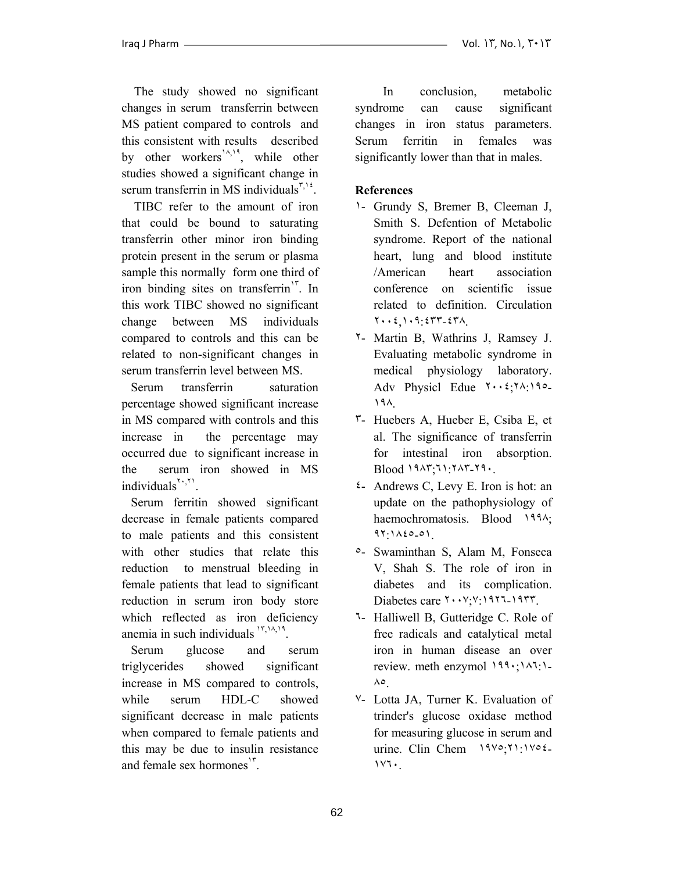The study showed no significant changes in serum transferrin between MS patient compared to controls and this consistent with results described by other workers<sup> $\lambda$ ,  $\lambda$ , while other</sup> studies showed a significant change in serum transferrin in MS individuals<sup> $\frac{5}{10}$ .</sup>

 TIBC refer to the amount of iron that could be bound to saturating transferrin other minor iron binding protein present in the serum or plasma sample this normally form one third of iron binding sites on transferrin<sup>1</sup>. In this work TIBC showed no significant change between MS individuals compared to controls and this can be related to non-significant changes in serum transferrin level between MS.

 Serum transferrin saturation percentage showed significant increase in MS compared with controls and this increase in the percentage may occurred due to significant increase in the serum iron showed in MS individuals $\mathbf{S}^{\prime\prime}$ .

 Serum ferritin showed significant decrease in female patients compared to male patients and this consistent with other studies that relate this reduction to menstrual bleeding in female patients that lead to significant reduction in serum iron body store which reflected as iron deficiency anemia in such individuals  $\binom{17,14,19}{16}$ .

 Serum glucose and serum triglycerides showed significant increase in MS compared to controls, while serum HDL-C showed significant decrease in male patients when compared to female patients and this may be due to insulin resistance and female sex hormones<sup>1٣</sup>.

 In conclusion, metabolic syndrome can cause significant changes in iron status parameters. Serum ferritin in females was significantly lower than that in males.

# **References**

- ١- Grundy S, Bremer B, Cleeman J, Smith S. Defention of Metabolic syndrome. Report of the national heart, lung and blood institute /American heart association conference on scientific issue related to definition. Circulation ٢٠٠٤,١٠٩:٤٣٣-٤٣٨.
- ٢- Martin B, Wathrins J, Ramsey J. Evaluating metabolic syndrome in medical physiology laboratory. Adv Physicl Edue ٢٠٠٤;٢٨:١٩٥- ١٩٨.
- ٣- Huebers A, Hueber E, Csiba E, et al. The significance of transferrin for intestinal iron absorption. Blood ١٩٨٣;٦١:٢٨٣-٢٩٠.
- ٤- Andrews C, Levy E. Iron is hot: an update on the pathophysiology of haemochromatosis. Blood 1994; ٩٢:١٨٤٥-٥١.
- ٥- Swaminthan S, Alam M, Fonseca V, Shah S. The role of iron in diabetes and its complication. Diabetes care ٢٠٠٧;٧:١٩٢٦-١٩٣٣.
- ٦- Halliwell B, Gutteridge C. Role of free radicals and catalytical metal iron in human disease an over review. meth enzymol ١٩٩٠;١٨٦:١- ٨٥.
- ٧- Lotta JA, Turner K. Evaluation of trinder's glucose oxidase method for measuring glucose in serum and urine. Clin Chem ١٩٧٥;٢١:١٧٥٤- ١٧٦٠.